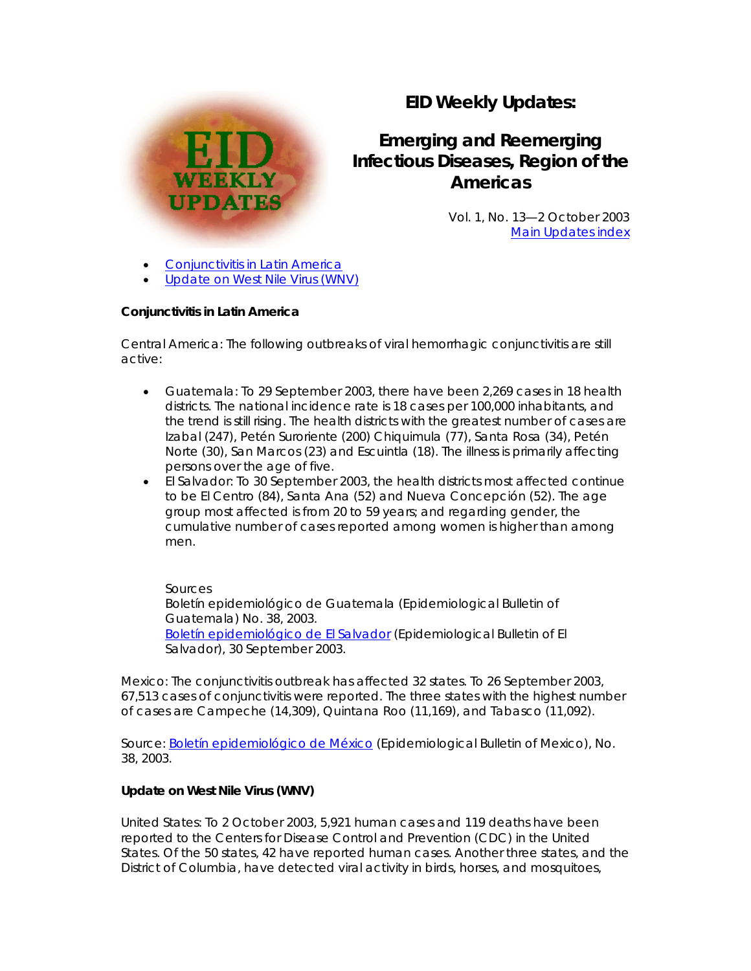## **EID Weekly Updates:**

# **Emerging and Reemerging Infectious Diseases, Region of the Americas**

Vol. 1, No. 13—2 October 2003 [Main Updates index](http://www.paho.org/English/AD/DPC/CD/eid-eer-ew.htm)

[Conjunctivitis in Latin America](http://www.paho.org/English/AD/DPC/CD/eid-eer-02-oct-2003.htm#conj#conj)

**WEEKLY UPDATES** 

[Update on West Nile Virus \(WNV\)](http://www.paho.org/English/AD/DPC/CD/eid-eer-02-oct-2003.htm#wnv#wnv) 

### **Conjunctivitis in Latin America**

*Central America:* The following outbreaks of viral hemorrhagic conjunctivitis are still active:

- *Guatemala:* To 29 September 2003, there have been 2,269 cases in 18 health districts. The national incidence rate is 18 cases per 100,000 inhabitants, and the trend is still rising. The health districts with the greatest number of cases are Izabal (247), Petén Suroriente (200) Chiquimula (77), Santa Rosa (34), Petén Norte (30), San Marcos (23) and Escuintla (18). The illness is primarily affecting persons over the age of five.
- *El Salvador:* To 30 September 2003, the health districts most affected continue to be El Centro (84), Santa Ana (52) and Nueva Concepción (52). The age group most affected is from 20 to 59 years; and regarding gender, the cumulative number of cases reported among women is higher than among men.

### *Sources*

*Boletín epidemiológico de Guatemala* (Epidemiological Bulletin of Guatemala) No. 38, 2003. *[Boletín epidemiológico de El Salvador](http://www.mspas.gob.sv/vigilancia_epid2003.htm)* (Epidemiological Bulletin of El Salvador), 30 September 2003.

*Mexico:* The conjunctivitis outbreak has affected 32 states. To 26 September 2003, 67,513 cases of conjunctivitis were reported. The three states with the highest number of cases are Campeche (14,309), Quintana Roo (11,169), and Tabasco (11,092).

*Source: [Boletín epidemiológico de México](http://www.epi.org.mx/boletin/2003/sem38/index3803.htm)* (Epidemiological Bulletin of Mexico), No. 38, 2003.

### **Update on West Nile Virus (WNV)**

*United States:* To 2 October 2003, 5,921 human cases and 119 deaths have been reported to the Centers for Disease Control and Prevention (CDC) in the United States. Of the 50 states, 42 have reported human cases. Another three states, and the District of Columbia, have detected viral activity in birds, horses, and mosquitoes,